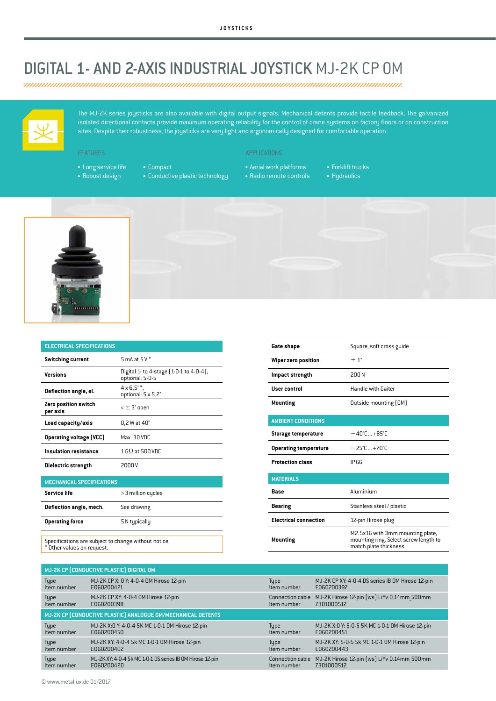## DIGITAL 1- AND 2-AXIS INDUSTRIAL JOYSTICK MJ-2K CP OM



The MJ-2K series joysticks are also available with digital output signals. Mechanical detents provide tactile feedback. The galvanized isolated directional contacts provide maximum operating reliability for the control of crane systems on factory floors or on construction sites. Despite their robustness, the joysticks are very light and ergonomically designed for comfortable operation.

- Long service life
- Robust design

• Compact

- Conductive plastic technology
- APPLICATIONS
- Aerial work platforms
- Radio remote controls
- Forklift trucks
- Hydraulics





| <b>ELECTRICAL SPECIFICATIONS</b> |                                                            |  |  |  |
|----------------------------------|------------------------------------------------------------|--|--|--|
| <b>Switching current</b>         | 5 mA at $5V^*$                                             |  |  |  |
| Versions                         | Digital 1- to 4-stage [1-0-1 to 4-0-4],<br>optional: 5-0-5 |  |  |  |
| Deflection angle, el.            | $4 \times 6.5^{\circ}$ *.<br>optional: 5 x 5.2°            |  |  |  |
| Zero position switch<br>per axis | $\epsilon \pm 3^{\circ}$ open                              |  |  |  |
| Load capacity/axis               | $0,2$ W at $40^\circ$                                      |  |  |  |
| <b>Operating voltage (VCC)</b>   | Max. 30 VDC                                                |  |  |  |
| Insulation resistance            | $1 \, \text{G}\Omega$ at 500 VDC                           |  |  |  |
| Dielectric strength              | 2000 V                                                     |  |  |  |

| <b>MECHANICAL SPECIFICATIONS</b> |                    |
|----------------------------------|--------------------|
| Service life                     | > 3 million cycles |
| Deflection angle, mech.          | See drawing        |
| <b>Operating force</b>           | 5 N typically      |
|                                  |                    |

Specifications are subject to change without notice. \* Other values on request.

| Gate shape                   | Square, soft cross guide                                                                            |  |  |  |
|------------------------------|-----------------------------------------------------------------------------------------------------|--|--|--|
| Wiper zero position          | $\pm 1^{\circ}$                                                                                     |  |  |  |
| Impact strength              | 200 N                                                                                               |  |  |  |
| <b>User control</b>          | <b>Handle with Gaiter</b>                                                                           |  |  |  |
| <b>Mounting</b>              | Outside mounting (OM)                                                                               |  |  |  |
| <b>AMBIENT CONDITIONS</b>    |                                                                                                     |  |  |  |
| <b>Storage temperature</b>   | $-40^{\circ}$ C +85 $^{\circ}$ C.                                                                   |  |  |  |
| <b>Operating temperature</b> | $-25^{\circ}$ C +70 $^{\circ}$ C.                                                                   |  |  |  |
| <b>Protection class</b>      | IP 66                                                                                               |  |  |  |
| <b>MATERIALS</b>             |                                                                                                     |  |  |  |
| <b>Base</b>                  | Aluminium                                                                                           |  |  |  |
| <b>Bearing</b>               | Stainless steel / plastic                                                                           |  |  |  |
| <b>Electrical connection</b> | 12-pin Hirose plug                                                                                  |  |  |  |
| <b>Mounting</b>              | M2.5x16 with 3mm mounting plate,<br>mounting ring. Select screw length to<br>match plate thickness. |  |  |  |
|                              |                                                                                                     |  |  |  |

| MJ-2K CP (CONDUCTIVE PLASTIC) DIGITAL OM                     |                                                           |                  |                                                  |  |  |  |
|--------------------------------------------------------------|-----------------------------------------------------------|------------------|--------------------------------------------------|--|--|--|
| <b>Type</b>                                                  | MJ-2K CP X: 0 Y: 4-0-4 0M Hirose 12-pin                   | Type             | MJ-2K CP XY: 4-0-4 DS series IB OM Hirose 12-pin |  |  |  |
| Item number                                                  | E060200421                                                | Item number      | E060200397                                       |  |  |  |
| <b>Type</b>                                                  | MJ-2K CP XY: 4-0-4 0M Hirose 12-pin                       | Connection cable | MJ-2K Hirose 12-pin (ws) LiYv 0.14mm 500mm       |  |  |  |
| Item number                                                  | E060200398                                                | Item number      | Z301000512                                       |  |  |  |
| MJ-2K CP (CONDUCTIVE PLASTIC) ANALOGUE OM/MECHANICAL DETENTS |                                                           |                  |                                                  |  |  |  |
| <b>Type</b>                                                  | MJ-2K X:0 Y: 4-0-4 5K MC 1-0-1 0M Hirose 12-pin           | Type             | MJ-2K X:0 Y: 5-0-5 5K MC 1-0-1 0M Hirose 12-pin  |  |  |  |
| Item number                                                  | E060200450                                                | Item number      | E060200451                                       |  |  |  |
| Type                                                         | MJ-2K XY: 4-0-4 5k MC 1-0-1 0M Hirose 12-pin              | Type             | MJ-2K XY: 5-0-5 5k MC 1-0-1 0M Hirose 12-pin     |  |  |  |
| Item number                                                  | E060200402                                                | Item number      | E060200443                                       |  |  |  |
| Type                                                         | MJ-2K XY: 4-0-4 5k MC 1-0-1 DS series IB 0M Hirose 12-pin | Connection cable | MJ-2K Hirose 12-pin (ws) LiYv 0.14mm 500mm       |  |  |  |
| Item number                                                  | E060200420                                                | Item number      | 7301000512                                       |  |  |  |